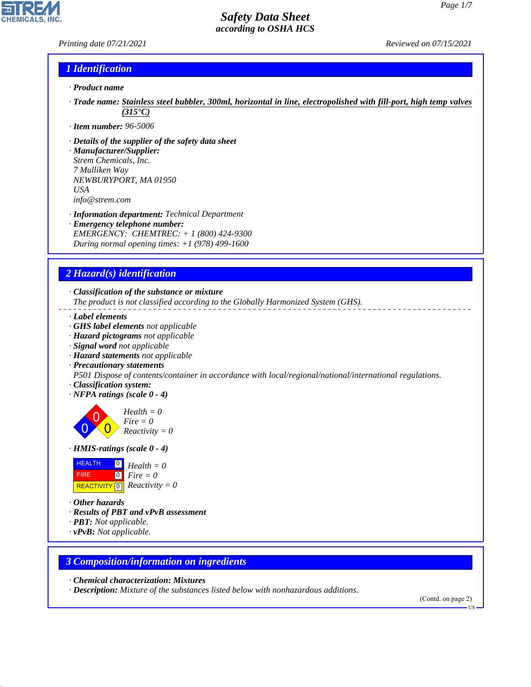### *Printing date 07/21/2021 Reviewed on 07/15/2021*

**CHEMICALS.** 

# *1 Identification*

- *· Product name*
- *· Trade name: Stainless steel bubbler, 300ml, horizontal in line, electropolished with fill-port, high temp valves (315°C)*
- *· Item number: 96-5006*
- *· Details of the supplier of the safety data sheet*
- *· Manufacturer/Supplier: Strem Chemicals, Inc. 7 Mulliken Way NEWBURYPORT, MA 01950 USA info@strem.com*
- *· Information department: Technical Department*
- *· Emergency telephone number: EMERGENCY: CHEMTREC: + 1 (800) 424-9300 During normal opening times: +1 (978) 499-1600*

# *2 Hazard(s) identification*

*· Classification of the substance or mixture*

*The product is not classified according to the Globally Harmonized System (GHS).*

- *· Label elements*
- *· GHS label elements not applicable*
- *· Hazard pictograms not applicable*
- *· Signal word not applicable*
- *· Hazard statements not applicable*
- *· Precautionary statements*

*P501 Dispose of contents/container in accordance with local/regional/national/international regulations.*

- *· Classification system:*
- *· NFPA ratings (scale 0 4)*

0 0  $\overline{\mathbf{0}}$ *Health = 0 Fire = 0 Reactivity = 0*

*· HMIS-ratings (scale 0 - 4)*

| <b>HEALTH</b> | $\overline{0}$ Health = 0                    |
|---------------|----------------------------------------------|
| <b>FIRE</b>   | $\mathbf{I}^{\mathsf{O}}$ Fire $=0$          |
|               | REACTIVITY $\boxed{0}$ <i>Reactivity</i> = 0 |

*· Other hazards*

44.1.1

- *· Results of PBT and vPvB assessment*
- *· PBT: Not applicable.*
- *· vPvB: Not applicable.*

### *3 Composition/information on ingredients*

*· Chemical characterization: Mixtures*

*· Description: Mixture of the substances listed below with nonhazardous additions.*

(Contd. on page 2)

US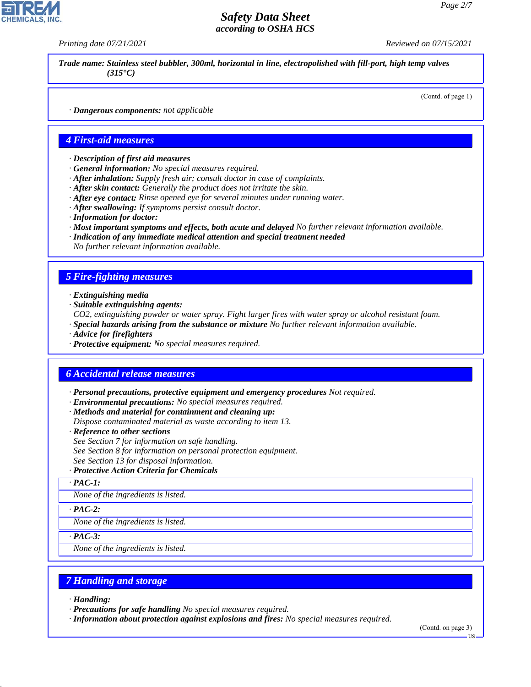*Printing date 07/21/2021 Reviewed on 07/15/2021*

*Trade name: Stainless steel bubbler, 300ml, horizontal in line, electropolished with fill-port, high temp valves (315°C)*

(Contd. of page 1)

*· Dangerous components: not applicable*

## *4 First-aid measures*

- *· Description of first aid measures*
- *· General information: No special measures required.*
- *· After inhalation: Supply fresh air; consult doctor in case of complaints.*
- *· After skin contact: Generally the product does not irritate the skin.*
- *· After eye contact: Rinse opened eye for several minutes under running water.*
- *· After swallowing: If symptoms persist consult doctor.*
- *· Information for doctor:*
- *· Most important symptoms and effects, both acute and delayed No further relevant information available.*
- *· Indication of any immediate medical attention and special treatment needed*

*No further relevant information available.*

## *5 Fire-fighting measures*

- *· Extinguishing media*
- *· Suitable extinguishing agents:*

*CO2, extinguishing powder or water spray. Fight larger fires with water spray or alcohol resistant foam.*

- *· Special hazards arising from the substance or mixture No further relevant information available.*
- *· Advice for firefighters*
- *· Protective equipment: No special measures required.*

### *6 Accidental release measures*

*· Personal precautions, protective equipment and emergency procedures Not required.*

- *· Environmental precautions: No special measures required.*
- *· Methods and material for containment and cleaning up:*
- *Dispose contaminated material as waste according to item 13.*
- *· Reference to other sections*
- *See Section 7 for information on safe handling.*
- *See Section 8 for information on personal protection equipment.*
- *See Section 13 for disposal information.*

## *· Protective Action Criteria for Chemicals*

*· PAC-1:*

*None of the ingredients is listed.*

*· PAC-2:*

*None of the ingredients is listed.*

*· PAC-3:*

*None of the ingredients is listed.*

## *7 Handling and storage*

*· Handling:*

44.1.1

*· Precautions for safe handling No special measures required.*

*· Information about protection against explosions and fires: No special measures required.*

(Contd. on page 3)

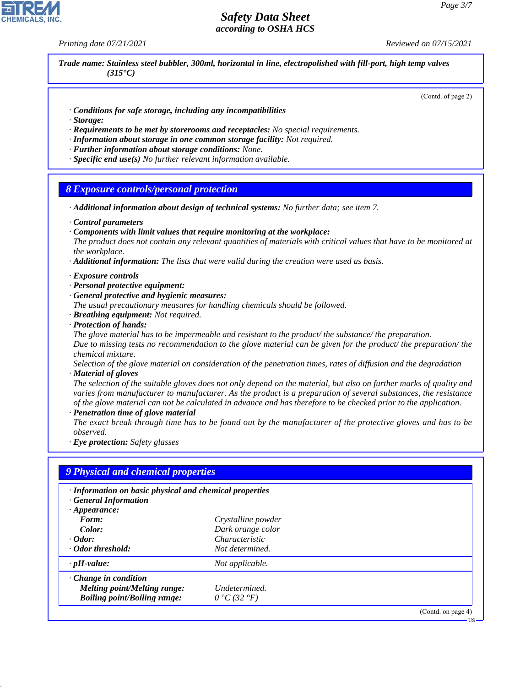*Printing date 07/21/2021 Reviewed on 07/15/2021*

*Trade name: Stainless steel bubbler, 300ml, horizontal in line, electropolished with fill-port, high temp valves (315°C)*

(Contd. of page 2)

- *· Conditions for safe storage, including any incompatibilities*
- *· Storage:*
- *· Requirements to be met by storerooms and receptacles: No special requirements.*
- *· Information about storage in one common storage facility: Not required.*
- *· Further information about storage conditions: None.*
- *· Specific end use(s) No further relevant information available.*

### *8 Exposure controls/personal protection*

- *· Additional information about design of technical systems: No further data; see item 7.*
- *· Control parameters*
- *· Components with limit values that require monitoring at the workplace:*

*The product does not contain any relevant quantities of materials with critical values that have to be monitored at the workplace.*

- *· Additional information: The lists that were valid during the creation were used as basis.*
- *· Exposure controls*
- *· Personal protective equipment:*
- *· General protective and hygienic measures:*

*The usual precautionary measures for handling chemicals should be followed.*

- *· Breathing equipment: Not required.*
- *· Protection of hands:*

*The glove material has to be impermeable and resistant to the product/ the substance/ the preparation. Due to missing tests no recommendation to the glove material can be given for the product/ the preparation/ the chemical mixture.*

*Selection of the glove material on consideration of the penetration times, rates of diffusion and the degradation · Material of gloves*

*The selection of the suitable gloves does not only depend on the material, but also on further marks of quality and varies from manufacturer to manufacturer. As the product is a preparation of several substances, the resistance of the glove material can not be calculated in advance and has therefore to be checked prior to the application.*

*· Penetration time of glove material*

*The exact break through time has to be found out by the manufacturer of the protective gloves and has to be observed.*

*· Eye protection: Safety glasses*

| · Information on basic physical and chemical properties<br><b>General Information</b> |                                         |  |
|---------------------------------------------------------------------------------------|-----------------------------------------|--|
| $\cdot$ Appearance:<br>Form:                                                          |                                         |  |
| Color:                                                                                | Crystalline powder<br>Dark orange color |  |
| $\cdot$ Odor:                                                                         | Characteristic                          |  |
| · Odor threshold:                                                                     | Not determined.                         |  |
| $\cdot$ pH-value:                                                                     | Not applicable.                         |  |
| $\cdot$ Change in condition                                                           |                                         |  |
| Melting point/Melting range:                                                          | Undetermined.                           |  |
| <b>Boiling point/Boiling range:</b>                                                   | $0 °C$ (32 $°F$ )                       |  |



44.1.1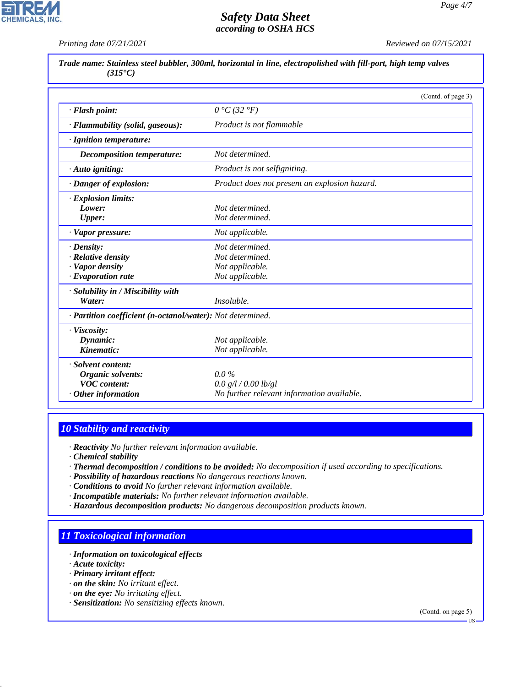**CHEMICALS, INC.** 

*Printing date 07/21/2021 Reviewed on 07/15/2021*

*Trade name: Stainless steel bubbler, 300ml, horizontal in line, electropolished with fill-port, high temp valves (315°C)*

|                                                            |                                               | (Contd. of page 3) |
|------------------------------------------------------------|-----------------------------------------------|--------------------|
| · Flash point:                                             | $0 °C$ (32 $°F$ )                             |                    |
| · Flammability (solid, gaseous):                           | Product is not flammable                      |                    |
| · Ignition temperature:                                    |                                               |                    |
| Decomposition temperature:                                 | Not determined.                               |                    |
| $\cdot$ Auto igniting:                                     | Product is not selfigniting.                  |                    |
| · Danger of explosion:                                     | Product does not present an explosion hazard. |                    |
| <b>Explosion limits:</b>                                   |                                               |                    |
| Lower:                                                     | Not determined.                               |                    |
| <b>Upper:</b>                                              | Not determined.                               |                    |
| $\cdot$ Vapor pressure:                                    | Not applicable.                               |                    |
| $\cdot$ Density:                                           | Not determined.                               |                    |
| $\cdot$ Relative density                                   | Not determined.                               |                    |
| · Vapor density                                            | Not applicable.                               |                    |
| $\cdot$ Evaporation rate                                   | Not applicable.                               |                    |
| · Solubility in / Miscibility with                         |                                               |                    |
| Water:                                                     | Insoluble.                                    |                    |
| · Partition coefficient (n-octanol/water): Not determined. |                                               |                    |
| · Viscosity:                                               |                                               |                    |
| Dynamic:                                                   | Not applicable.                               |                    |
| Kinematic:                                                 | Not applicable.                               |                    |
| · Solvent content:                                         |                                               |                    |
| Organic solvents:                                          | $0.0\%$                                       |                    |
| <b>VOC</b> content:                                        | 0.0 g/l / 0.00 lb/gl                          |                    |
| Other information                                          | No further relevant information available.    |                    |

# *10 Stability and reactivity*

*· Reactivity No further relevant information available.*

*· Chemical stability*

- *· Thermal decomposition / conditions to be avoided: No decomposition if used according to specifications.*
- *· Possibility of hazardous reactions No dangerous reactions known.*
- *· Conditions to avoid No further relevant information available.*
- *· Incompatible materials: No further relevant information available.*
- *· Hazardous decomposition products: No dangerous decomposition products known.*

# *11 Toxicological information*

- *· Information on toxicological effects*
- *· Acute toxicity:*

44.1.1

- *· Primary irritant effect:*
- *· on the skin: No irritant effect.*
- *· on the eye: No irritating effect.*
- *· Sensitization: No sensitizing effects known.*

(Contd. on page 5)

US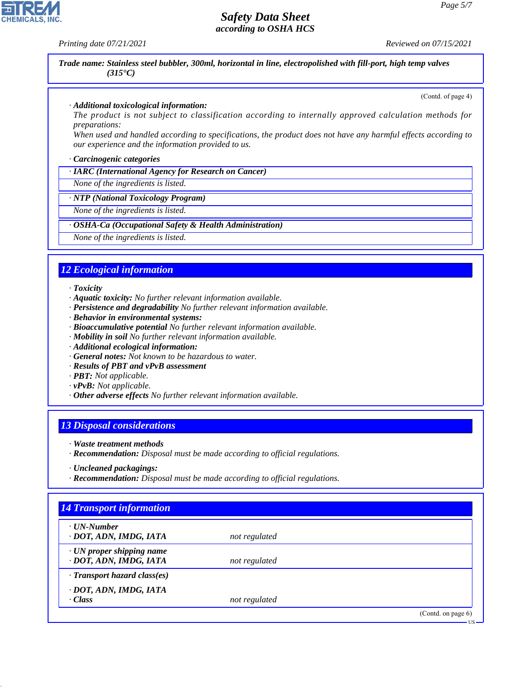*Printing date 07/21/2021 Reviewed on 07/15/2021*

**CHEMICALS, INC** 

*Trade name: Stainless steel bubbler, 300ml, horizontal in line, electropolished with fill-port, high temp valves (315°C)*

(Contd. of page 4)

### *· Additional toxicological information:*

*The product is not subject to classification according to internally approved calculation methods for preparations:*

*When used and handled according to specifications, the product does not have any harmful effects according to our experience and the information provided to us.*

#### *· Carcinogenic categories*

*· IARC (International Agency for Research on Cancer)*

*None of the ingredients is listed.*

## *· NTP (National Toxicology Program)*

*None of the ingredients is listed.*

### *· OSHA-Ca (Occupational Safety & Health Administration)*

*None of the ingredients is listed.*

# *12 Ecological information*

*· Toxicity*

- *· Aquatic toxicity: No further relevant information available.*
- *· Persistence and degradability No further relevant information available.*
- *· Behavior in environmental systems:*
- *· Bioaccumulative potential No further relevant information available.*
- *· Mobility in soil No further relevant information available.*
- *· Additional ecological information:*
- *· General notes: Not known to be hazardous to water.*
- *· Results of PBT and vPvB assessment*
- *· PBT: Not applicable.*
- *· vPvB: Not applicable.*
- *· Other adverse effects No further relevant information available.*

### *13 Disposal considerations*

- *· Waste treatment methods*
- *· Recommendation: Disposal must be made according to official regulations.*

*· Recommendation: Disposal must be made according to official regulations.*

# *14 Transport information*

44.1.1

| $\cdot$ UN-Number<br>· DOT, ADN, IMDG, IATA               | not regulated |                    |
|-----------------------------------------------------------|---------------|--------------------|
| $\cdot$ UN proper shipping name<br>· DOT, ADN, IMDG, IATA | not regulated |                    |
| $\cdot$ Transport hazard class(es)                        |               |                    |
| · DOT, ADN, IMDG, IATA<br>$\cdot$ Class                   | not regulated |                    |
|                                                           |               | (Contd. on page 6) |
|                                                           |               | $US -$             |

*<sup>·</sup> Uncleaned packagings:*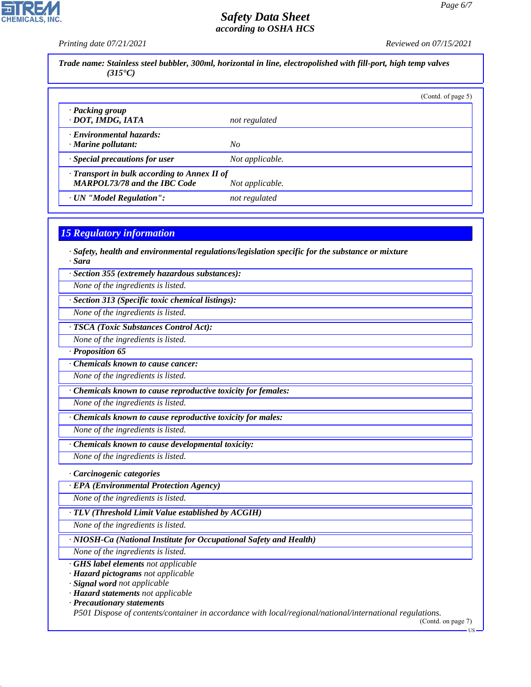*Printing date 07/21/2021 Reviewed on 07/15/2021*

CHEMICALS, INC.

44.1.1

| Trade name: Stainless steel bubbler, 300ml, horizontal in line, electropolished with fill-port, high temp valves<br>$(315^{\circ}C)$ |                 |                    |
|--------------------------------------------------------------------------------------------------------------------------------------|-----------------|--------------------|
|                                                                                                                                      |                 | (Contd. of page 5) |
| · Packing group<br>· DOT, IMDG, IATA                                                                                                 | not regulated   |                    |
| · Environmental hazards:<br>· Marine pollutant:                                                                                      | No              |                    |
| · Special precautions for user                                                                                                       | Not applicable. |                    |
| · Transport in bulk according to Annex II of<br><b>MARPOL73/78 and the IBC Code</b>                                                  | Not applicable. |                    |
| · UN "Model Regulation":                                                                                                             | not regulated   |                    |
| <b>15 Regulatory information</b>                                                                                                     |                 |                    |
| $\cdot$ Safety, health and environmental regulations/legislation specific for the substance or mixture<br>· Sara                     |                 |                    |
| · Section 355 (extremely hazardous substances):                                                                                      |                 |                    |
| None of the ingredients is listed.                                                                                                   |                 |                    |
| Section 313 (Specific toxic chemical listings):                                                                                      |                 |                    |
| None of the ingredients is listed.                                                                                                   |                 |                    |
| · TSCA (Toxic Substances Control Act):                                                                                               |                 |                    |
| None of the ingredients is listed.                                                                                                   |                 |                    |
| · Proposition 65                                                                                                                     |                 |                    |
| Chemicals known to cause cancer:                                                                                                     |                 |                    |
| None of the ingredients is listed.                                                                                                   |                 |                    |
| · Chemicals known to cause reproductive toxicity for females:                                                                        |                 |                    |
| None of the ingredients is listed.                                                                                                   |                 |                    |
| · Chemicals known to cause reproductive toxicity for males:                                                                          |                 |                    |
| None of the ingredients is listed.                                                                                                   |                 |                    |
| Chemicals known to cause developmental toxicity:                                                                                     |                 |                    |
| None of the ingredients is listed.                                                                                                   |                 |                    |
| · Carcinogenic categories                                                                                                            |                 |                    |
| · EPA (Environmental Protection Agency)                                                                                              |                 |                    |
| None of the ingredients is listed.                                                                                                   |                 |                    |
| · TLV (Threshold Limit Value established by ACGIH)                                                                                   |                 |                    |
| None of the ingredients is listed.                                                                                                   |                 |                    |
| · NIOSH-Ca (National Institute for Occupational Safety and Health)                                                                   |                 |                    |
| None of the ingredients is listed.                                                                                                   |                 |                    |
| · GHS label elements not applicable                                                                                                  |                 |                    |
| · Hazard pictograms not applicable                                                                                                   |                 |                    |
| · Signal word not applicable                                                                                                         |                 |                    |
| · Hazard statements not applicable                                                                                                   |                 |                    |

US